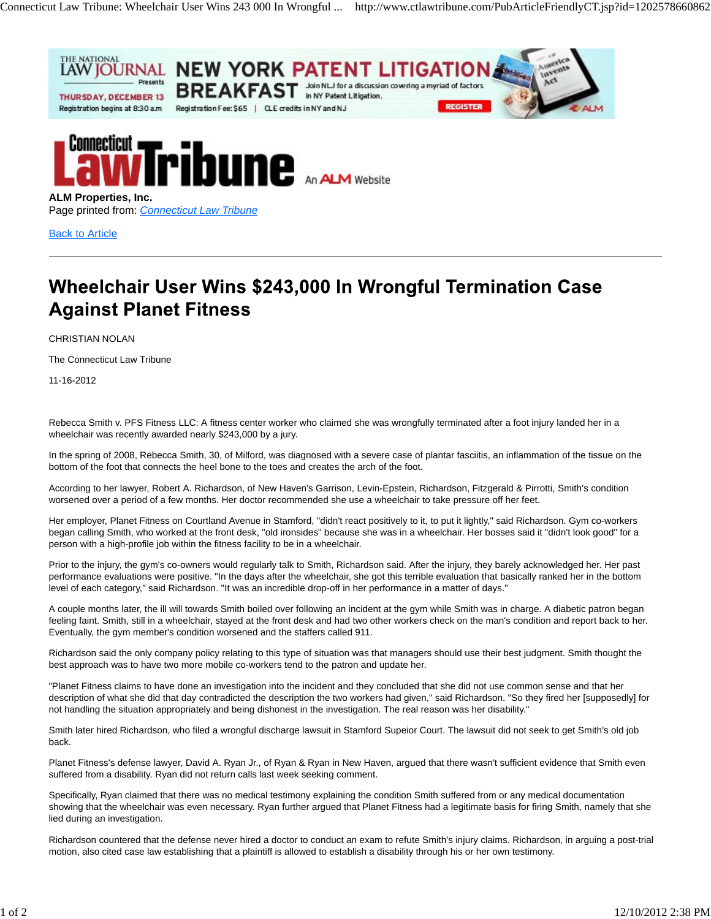



Page printed from: *Connecticut Law Tribune*

Back to Article

## Wheelchair User Wins \$243,000 In Wrongful Termination Case **Against Planet Fitness**

CHRISTIAN NOLAN

The Connecticut Law Tribune

11-16-2012

Rebecca Smith v. PFS Fitness LLC: A fitness center worker who claimed she was wrongfully terminated after a foot injury landed her in a wheelchair was recently awarded nearly \$243,000 by a jury.

In the spring of 2008, Rebecca Smith, 30, of Milford, was diagnosed with a severe case of plantar fasciitis, an inflammation of the tissue on the bottom of the foot that connects the heel bone to the toes and creates the arch of the foot.

According to her lawyer, Robert A. Richardson, of New Haven's Garrison, Levin-Epstein, Richardson, Fitzgerald & Pirrotti, Smith's condition worsened over a period of a few months. Her doctor recommended she use a wheelchair to take pressure off her feet.

Her employer, Planet Fitness on Courtland Avenue in Stamford, "didn't react positively to it, to put it lightly," said Richardson. Gym co-workers began calling Smith, who worked at the front desk, "old ironsides" because she was in a wheelchair. Her bosses said it "didn't look good" for a person with a high-profile job within the fitness facility to be in a wheelchair.

Prior to the injury, the gym's co-owners would regularly talk to Smith, Richardson said. After the injury, they barely acknowledged her. Her past performance evaluations were positive. "In the days after the wheelchair, she got this terrible evaluation that basically ranked her in the bottom level of each category," said Richardson. "It was an incredible drop-off in her performance in a matter of days."

A couple months later, the ill will towards Smith boiled over following an incident at the gym while Smith was in charge. A diabetic patron began feeling faint. Smith, still in a wheelchair, stayed at the front desk and had two other workers check on the man's condition and report back to her. Eventually, the gym member's condition worsened and the staffers called 911.

Richardson said the only company policy relating to this type of situation was that managers should use their best judgment. Smith thought the best approach was to have two more mobile co-workers tend to the patron and update her.

"Planet Fitness claims to have done an investigation into the incident and they concluded that she did not use common sense and that her description of what she did that day contradicted the description the two workers had given," said Richardson. "So they fired her [supposedly] for not handling the situation appropriately and being dishonest in the investigation. The real reason was her disability."

Smith later hired Richardson, who filed a wrongful discharge lawsuit in Stamford Supeior Court. The lawsuit did not seek to get Smith's old job back.

Planet Fitness's defense lawyer, David A. Ryan Jr., of Ryan & Ryan in New Haven, argued that there wasn't sufficient evidence that Smith even suffered from a disability. Ryan did not return calls last week seeking comment.

Specifically, Ryan claimed that there was no medical testimony explaining the condition Smith suffered from or any medical documentation showing that the wheelchair was even necessary. Ryan further argued that Planet Fitness had a legitimate basis for firing Smith, namely that she lied during an investigation.

Richardson countered that the defense never hired a doctor to conduct an exam to refute Smith's injury claims. Richardson, in arguing a post-trial motion, also cited case law establishing that a plaintiff is allowed to establish a disability through his or her own testimony.